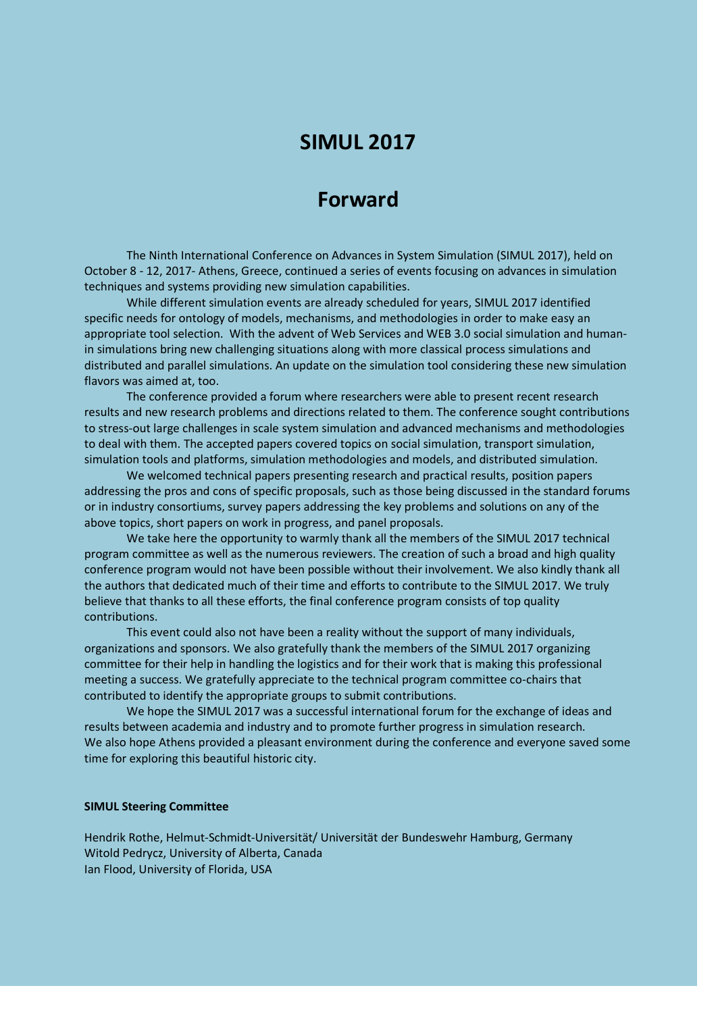## **SIMUL 2017**

## **Forward**

The Ninth International Conference on Advances in System Simulation (SIMUL 2017), held on October 8 - 12, 2017- Athens, Greece, continued a series of events focusing on advances in simulation techniques and systems providing new simulation capabilities.

While different simulation events are already scheduled for years, SIMUL 2017 identified specific needs for ontology of models, mechanisms, and methodologies in order to make easy an appropriate tool selection. With the advent of Web Services and WEB 3.0 social simulation and humanin simulations bring new challenging situations along with more classical process simulations and distributed and parallel simulations. An update on the simulation tool considering these new simulation flavors was aimed at, too.

The conference provided a forum where researchers were able to present recent research results and new research problems and directions related to them. The conference sought contributions to stress-out large challenges in scale system simulation and advanced mechanisms and methodologies to deal with them. The accepted papers covered topics on social simulation, transport simulation, simulation tools and platforms, simulation methodologies and models, and distributed simulation.

We welcomed technical papers presenting research and practical results, position papers addressing the pros and cons of specific proposals, such as those being discussed in the standard forums or in industry consortiums, survey papers addressing the key problems and solutions on any of the above topics, short papers on work in progress, and panel proposals.

We take here the opportunity to warmly thank all the members of the SIMUL 2017 technical program committee as well as the numerous reviewers. The creation of such a broad and high quality conference program would not have been possible without their involvement. We also kindly thank all the authors that dedicated much of their time and efforts to contribute to the SIMUL 2017. We truly believe that thanks to all these efforts, the final conference program consists of top quality contributions.

This event could also not have been a reality without the support of many individuals, organizations and sponsors. We also gratefully thank the members of the SIMUL 2017 organizing committee for their help in handling the logistics and for their work that is making this professional meeting a success. We gratefully appreciate to the technical program committee co-chairs that contributed to identify the appropriate groups to submit contributions.

We hope the SIMUL 2017 was a successful international forum for the exchange of ideas and results between academia and industry and to promote further progress in simulation research. We also hope Athens provided a pleasant environment during the conference and everyone saved some time for exploring this beautiful historic city.

## **SIMUL Steering Committee**

Hendrik Rothe, Helmut-Schmidt-Universität/ Universität der Bundeswehr Hamburg, Germany Witold Pedrycz, University of Alberta, Canada Ian Flood, University of Florida, USA